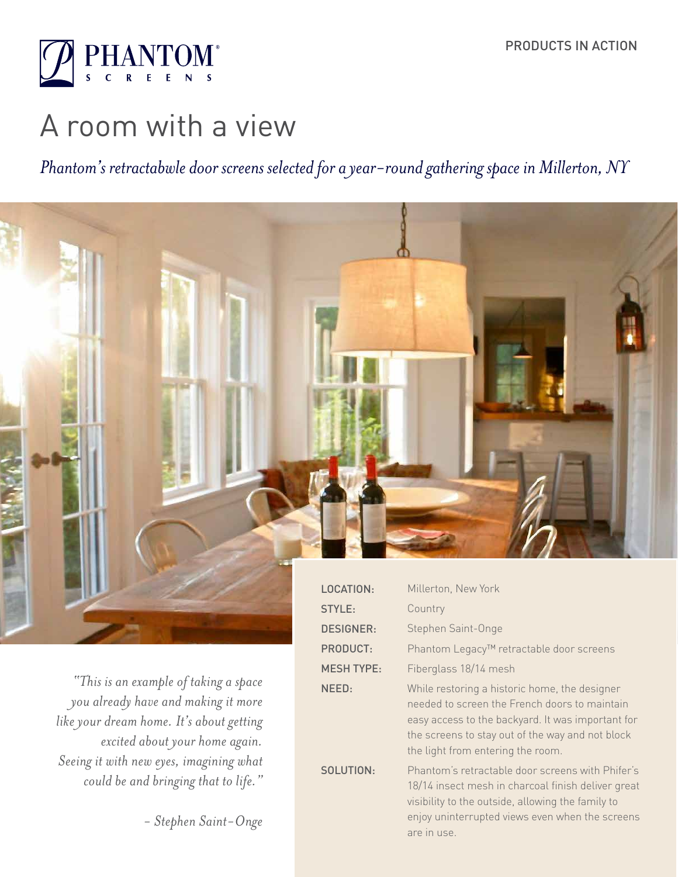

# A room with a view

*Phantom's retractabwle door screens selected for a year-round gathering space in Millerton, NY*



*"This is an example of taking a space you already have and making it more like your dream home. It's about getting excited about your home again. Seeing it with new eyes, imagining what could be and bringing that to life."* 

 *- Stephen Saint-Onge*

| LOCATION:         | Millerton, New York                                                                                                                                                                                                                          |
|-------------------|----------------------------------------------------------------------------------------------------------------------------------------------------------------------------------------------------------------------------------------------|
| STYLE:            | Country                                                                                                                                                                                                                                      |
| <b>DESIGNER:</b>  | Stephen Saint-Onge                                                                                                                                                                                                                           |
| <b>PRODUCT:</b>   | Phantom Legacy™ retractable door screens                                                                                                                                                                                                     |
| <b>MESH TYPE:</b> | Fiberglass 18/14 mesh                                                                                                                                                                                                                        |
| NEED:             | While restoring a historic home, the designer<br>needed to screen the French doors to maintain<br>easy access to the backyard. It was important for<br>the screens to stay out of the way and not block<br>the light from entering the room. |
| SOLUTION:         | Phantom's retractable door screens with Phifer's<br>18/14 insect mesh in charcoal finish deliver great<br>visibility to the outside, allowing the family to<br>enjoy uninterrupted views even when the screens<br>are in use.                |